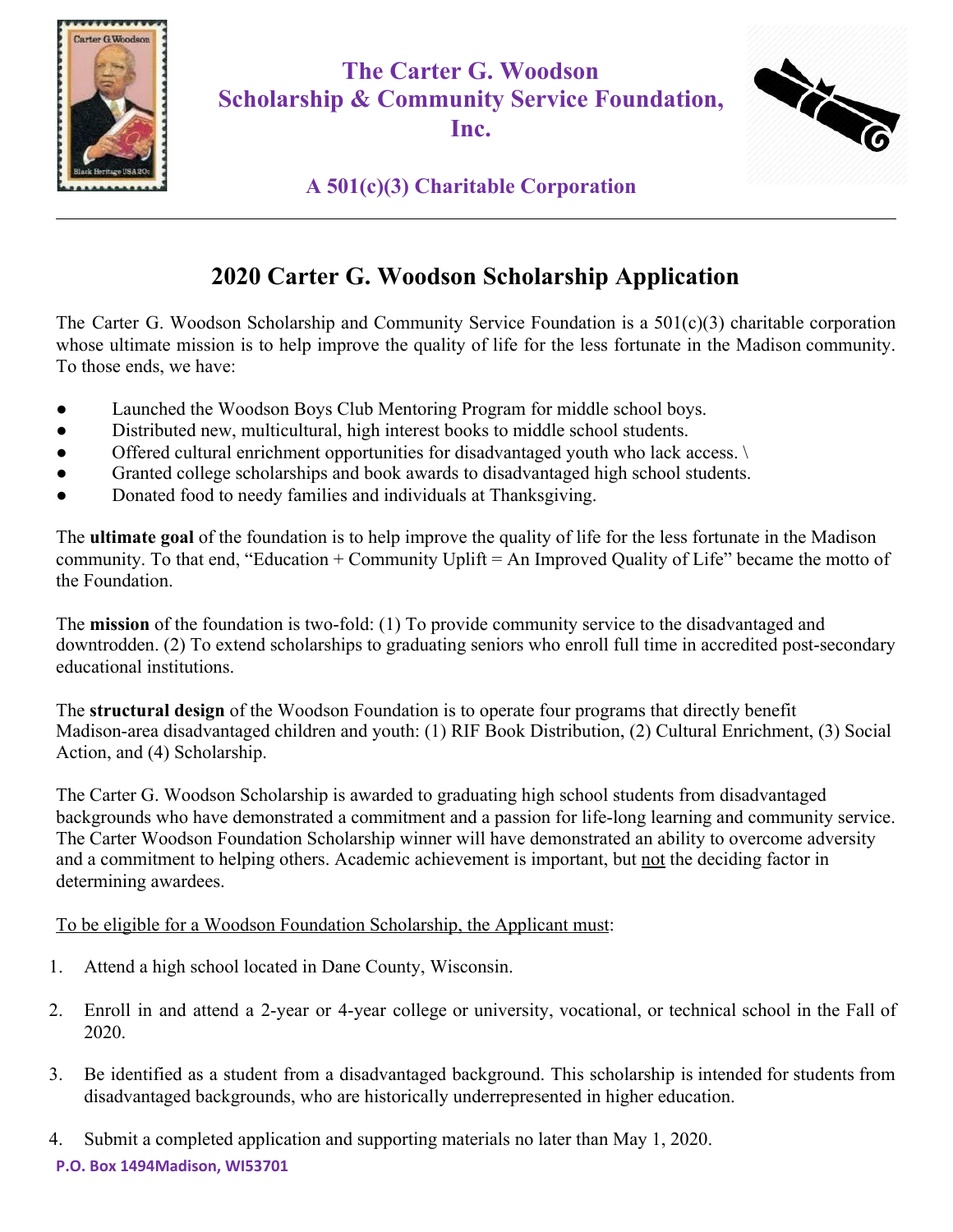

**The Carter G. Woodson Scholarship & Community Service Foundation, Inc.**



### **A 501(c)(3) Charitable Corporation**

## **2020 Carter G. Woodson Scholarship Application**

The Carter G. Woodson Scholarship and Community Service Foundation is a 501(c)(3) charitable corporation whose ultimate mission is to help improve the quality of life for the less fortunate in the Madison community. To those ends, we have:

- Launched the Woodson Boys Club Mentoring Program for middle school boys.
- Distributed new, multicultural, high interest books to middle school students.
- Offered cultural enrichment opportunities for disadvantaged youth who lack access.
- Granted college scholarships and book awards to disadvantaged high school students.
- Donated food to needy families and individuals at Thanksgiving.

The **ultimate goal** of the foundation is to help improve the quality of life for the less fortunate in the Madison community. To that end, "Education + Community Uplift = An Improved Quality of Life" became the motto of the Foundation.

The **mission** of the foundation is two-fold: (1) To provide community service to the disadvantaged and downtrodden. (2) To extend scholarships to graduating seniors who enroll full time in accredited post-secondary educational institutions.

The **structural design** of the Woodson Foundation is to operate four programs that directly benefit Madison-area disadvantaged children and youth: (1) RIF Book Distribution, (2) Cultural Enrichment, (3) Social Action, and (4) Scholarship.

The Carter G. Woodson Scholarship is awarded to graduating high school students from disadvantaged backgrounds who have demonstrated a commitment and a passion for life-long learning and community service. The Carter Woodson Foundation Scholarship winner will have demonstrated an ability to overcome adversity and a commitment to helping others. Academic achievement is important, but not the deciding factor in determining awardees.

To be eligible for a Woodson Foundation Scholarship, the Applicant must:

- 1. Attend a high school located in Dane County, Wisconsin.
- 2. Enroll in and attend a 2-year or 4-year college or university, vocational, or technical school in the Fall of 2020.
- 3. Be identified as a student from a disadvantaged background. This scholarship is intended for students from disadvantaged backgrounds, who are historically underrepresented in higher education.
- 4. Submit a completed application and supporting materials no later than May 1, 2020.

**P.O. Box 1494Madison, WI53701**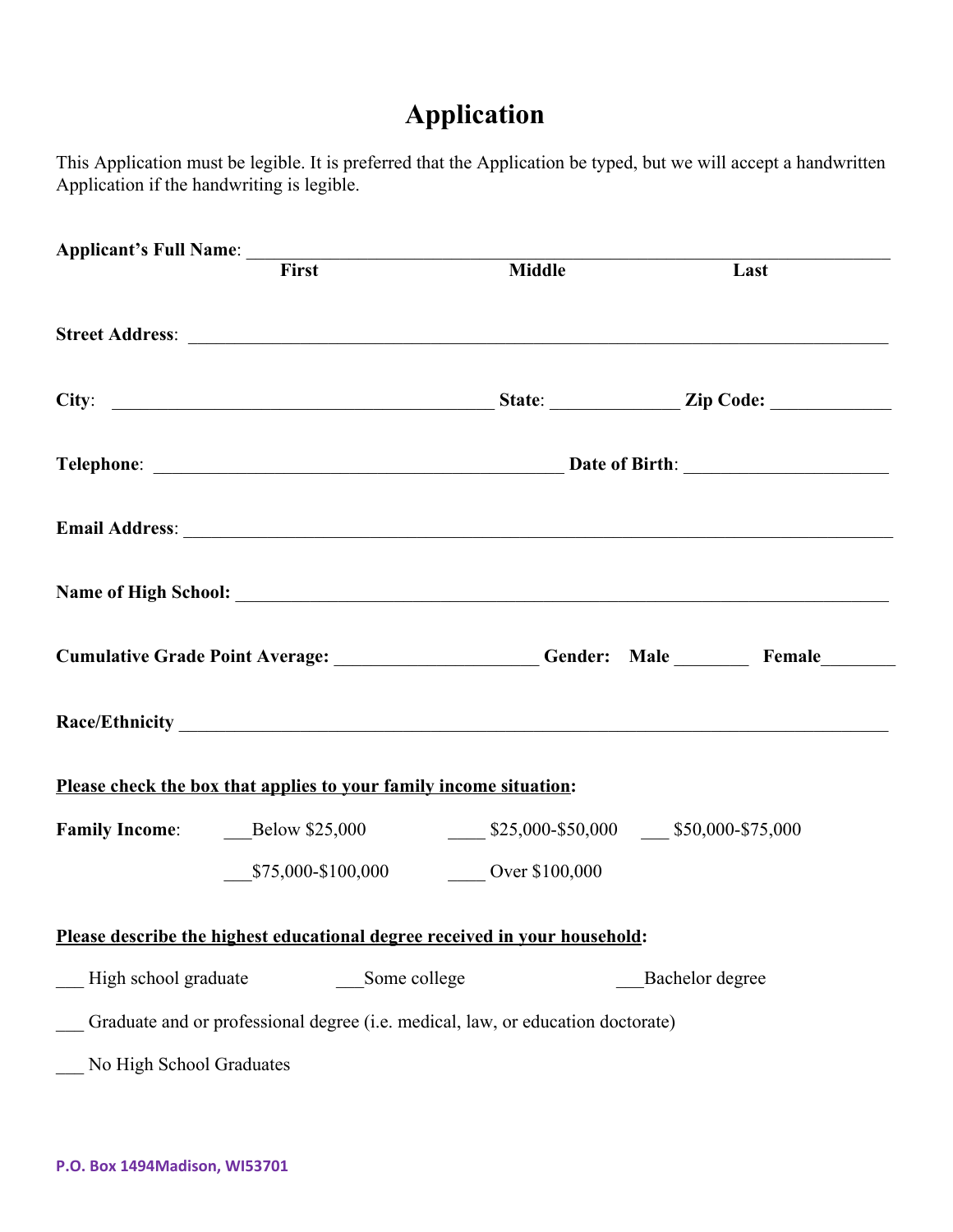# **Application**

This Application must be legible. It is preferred that the Application be typed, but we will accept a handwritten Application if the handwriting is legible.

|                                      | Applicant's Full Name:<br>First Middle                                          |  |                                                                                      |
|--------------------------------------|---------------------------------------------------------------------------------|--|--------------------------------------------------------------------------------------|
|                                      |                                                                                 |  | Last                                                                                 |
|                                      |                                                                                 |  |                                                                                      |
|                                      |                                                                                 |  |                                                                                      |
|                                      |                                                                                 |  |                                                                                      |
|                                      |                                                                                 |  |                                                                                      |
|                                      |                                                                                 |  |                                                                                      |
|                                      |                                                                                 |  | Cumulative Grade Point Average: ___________________Gender: Male _______Female_______ |
|                                      |                                                                                 |  |                                                                                      |
|                                      | Please check the box that applies to your family income situation:              |  |                                                                                      |
|                                      |                                                                                 |  |                                                                                      |
|                                      | \$75,000-\$100,000 Over \$100,000                                               |  |                                                                                      |
|                                      | Please describe the highest educational degree received in your household:      |  |                                                                                      |
| High school graduate<br>Some college |                                                                                 |  | Bachelor degree                                                                      |
|                                      | Graduate and or professional degree (i.e. medical, law, or education doctorate) |  |                                                                                      |
| No High School Graduates             |                                                                                 |  |                                                                                      |